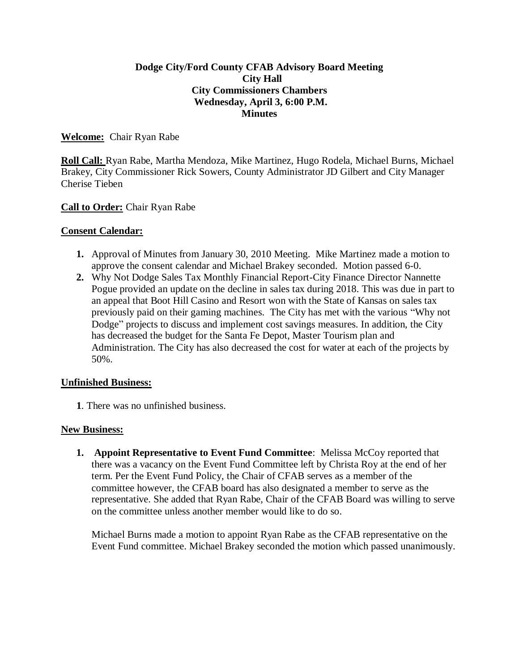## **Dodge City/Ford County CFAB Advisory Board Meeting City Hall City Commissioners Chambers Wednesday, April 3, 6:00 P.M. Minutes**

## **Welcome:** Chair Ryan Rabe

**Roll Call:** Ryan Rabe, Martha Mendoza, Mike Martinez, Hugo Rodela, Michael Burns, Michael Brakey, City Commissioner Rick Sowers, County Administrator JD Gilbert and City Manager Cherise Tieben

## **Call to Order:** Chair Ryan Rabe

## **Consent Calendar:**

- **1.** Approval of Minutes from January 30, 2010 Meeting. Mike Martinez made a motion to approve the consent calendar and Michael Brakey seconded. Motion passed 6-0.
- **2.** Why Not Dodge Sales Tax Monthly Financial Report-City Finance Director Nannette Pogue provided an update on the decline in sales tax during 2018. This was due in part to an appeal that Boot Hill Casino and Resort won with the State of Kansas on sales tax previously paid on their gaming machines. The City has met with the various "Why not Dodge" projects to discuss and implement cost savings measures. In addition, the City has decreased the budget for the Santa Fe Depot, Master Tourism plan and Administration. The City has also decreased the cost for water at each of the projects by 50%.

#### **Unfinished Business:**

**1**. There was no unfinished business.

#### **New Business:**

**1. Appoint Representative to Event Fund Committee**: Melissa McCoy reported that there was a vacancy on the Event Fund Committee left by Christa Roy at the end of her term. Per the Event Fund Policy, the Chair of CFAB serves as a member of the committee however, the CFAB board has also designated a member to serve as the representative. She added that Ryan Rabe, Chair of the CFAB Board was willing to serve on the committee unless another member would like to do so.

Michael Burns made a motion to appoint Ryan Rabe as the CFAB representative on the Event Fund committee. Michael Brakey seconded the motion which passed unanimously.